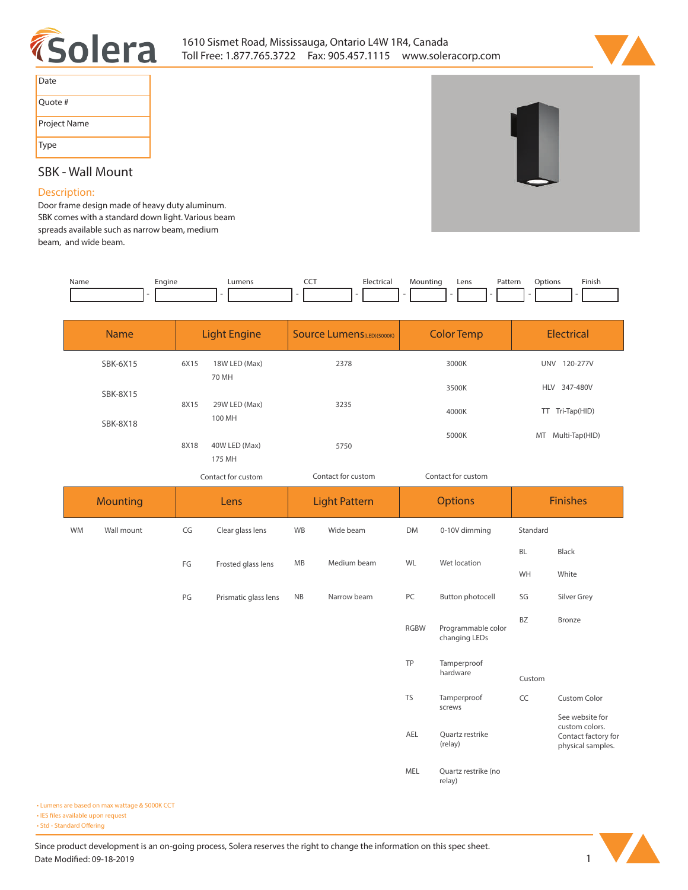



| Date         |
|--------------|
| Ouote #      |
| Project Name |
| Type         |

# **SBK - Wall Mount**

## **Description:**

**Door frame design made of heavy duty aluminum. SBK comes with a standard down light. Various beam spreads available such as narrow beam, medium beam, and wide beam.** 

| Name | Engine | umens | ---<br>$ -$ | rica | าτınc | Lens | Patterr<br>. | Jotions<br>. | Finish |
|------|--------|-------|-------------|------|-------|------|--------------|--------------|--------|
|      |        |       |             |      |       |      |              |              |        |

| <b>Name</b>     | <b>Light Engine</b> |                         | <b>Source Lumens</b> (LED)(5000K) | <b>Color Temp</b> | <b>Electrical</b>      |  |
|-----------------|---------------------|-------------------------|-----------------------------------|-------------------|------------------------|--|
| SBK-6X15        | 6X15                | 18W LED (Max)<br>70 MH  | 2378                              | 3000K             | <b>UNV</b><br>120-277V |  |
| <b>SBK-8X15</b> | 8X15                |                         | 3235                              | 3500K             | 347-480V<br><b>HLV</b> |  |
| <b>SBK-8X18</b> |                     | 29W LED (Max)<br>100 MH |                                   | 4000K             | Tri-Tap(HID)<br>TT.    |  |
|                 | 8X18                | 40W LED (Max)           | 5750                              | 5000K             | Multi-Tap(HID)<br>MT   |  |
|                 |                     | 175 MH                  |                                   |                   |                        |  |

*Contact for custom Contact for custom*

*Contact for custom*

|           | <b>Mounting</b> |    | Lens                 |               | <b>Light Pattern</b> |             | <b>Options</b>                      | <b>Finishes</b> |                                                                               |
|-----------|-----------------|----|----------------------|---------------|----------------------|-------------|-------------------------------------|-----------------|-------------------------------------------------------------------------------|
| <b>WM</b> | Wall mount      | CG | Clear glass lens     | WB            | Wide beam            | <b>DM</b>   | 0-10V dimming                       | Standard        |                                                                               |
|           |                 | FG |                      | MB            | Medium beam          | WL          | Wet location                        | BL              | Black                                                                         |
|           |                 |    | Frosted glass lens   |               |                      |             |                                     | WH              | White                                                                         |
|           |                 | PG | Prismatic glass lens | $\mathsf{NB}$ | Narrow beam          | PC          | Button photocell                    | SG              | Silver Grey                                                                   |
|           |                 |    |                      |               |                      | <b>RGBW</b> | Programmable color<br>changing LEDs | <b>BZ</b>       | Bronze                                                                        |
|           |                 |    |                      |               |                      | TP          | Tamperproof<br>hardware             | Custom          |                                                                               |
|           |                 |    |                      |               |                      | <b>TS</b>   | Tamperproof<br>screws               | CC              | <b>Custom Color</b>                                                           |
|           |                 |    |                      |               |                      | AEL         | Quartz restrike<br>(relay)          |                 | See website for<br>custom colors.<br>Contact factory for<br>physical samples. |
|           |                 |    |                      |               |                      | MEL         | Quartz restrike (no<br>relay)       |                 |                                                                               |

**• Lumens are based on max wattage & 5000K CCT**

**• IES files available upon request** 

• Std - Standard Offering

Since product development is an on-going process, Solera reserves the right to change the information on this spec sheet. **Date Modified: 09-18-2019** 1